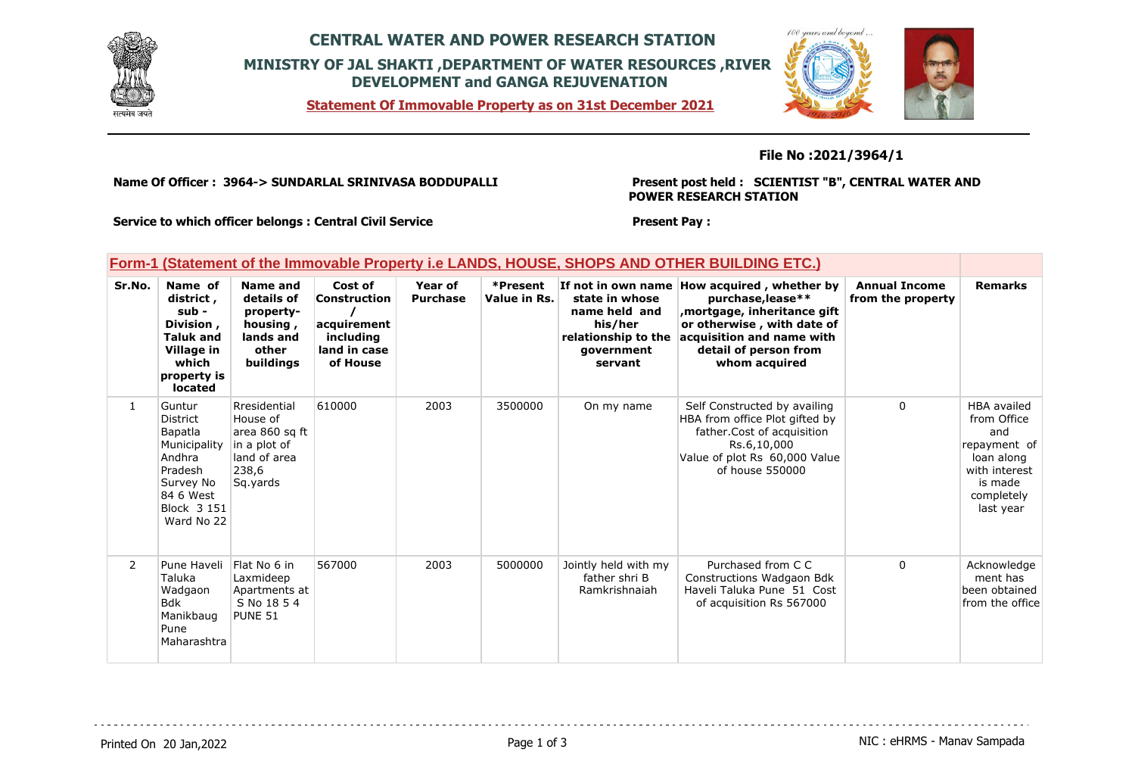

# **CENTRAL WATER AND POWER RESEARCH STATION MINISTRY OF JAL SHAKTI ,DEPARTMENT OF WATER RESOURCES ,RIVER DEVELOPMENT and GANGA REJUVENATION**

**Statement Of Immovable Property as on 31st December 2021**



### **File No :2021/3964/1**

**Name Of Officer : 3964-> SUNDARLAL SRINIVASA BODDUPALLI** 

#### **Present post held : SCIENTIST "B", CENTRAL WATER AND POWER RESEARCH STATION**

**Present Pay :** 

**Service to which officer belongs : Central Civil Service**

### **Form-1 (Statement of the Immovable Property i.e LANDS, HOUSE, SHOPS AND OTHER BUILDING ETC.)**

| Sr.No.         | Name of<br>district,<br>sub -<br>Division,<br><b>Taluk and</b><br>Village in<br>which<br>property is<br>located                  | Name and<br>details of<br>property-<br>housing,<br>lands and<br>other<br>buildings              | Cost of<br>Construction<br>acquirement<br>including<br>land in case<br>of House | Year of<br><b>Purchase</b> | *Present<br>Value in Rs. | If not in own name<br>state in whose<br>name held and<br>his/her<br>relationship to the<br>qovernment<br>servant | How acquired, whether by<br>purchase, lease**<br>mortgage, inheritance gift,<br>or otherwise, with date of<br>acquisition and name with<br>detail of person from<br>whom acquired | <b>Annual Income</b><br>from the property | <b>Remarks</b>                                                                                                                |
|----------------|----------------------------------------------------------------------------------------------------------------------------------|-------------------------------------------------------------------------------------------------|---------------------------------------------------------------------------------|----------------------------|--------------------------|------------------------------------------------------------------------------------------------------------------|-----------------------------------------------------------------------------------------------------------------------------------------------------------------------------------|-------------------------------------------|-------------------------------------------------------------------------------------------------------------------------------|
| $\mathbf{1}$   | Guntur<br><b>District</b><br>Bapatla<br>Municipality<br>Andhra<br>Pradesh<br>Survey No<br>84 6 West<br>Block 3 151<br>Ward No 22 | Rresidential<br>House of<br>area 860 sq ft<br>in a plot of<br>land of area<br>238,6<br>Sq.yards | 610000                                                                          | 2003                       | 3500000                  | On my name                                                                                                       | Self Constructed by availing<br>HBA from office Plot gifted by<br>father.Cost of acquisition<br>Rs.6,10,000<br>Value of plot Rs 60,000 Value<br>of house 550000                   | 0                                         | <b>HBA</b> availed<br>from Office<br>and<br>repayment of<br>loan along<br>with interest<br>is made<br>completely<br>last year |
| $\overline{2}$ | Pune Haveli<br>Taluka<br>Wadgaon<br>Bdk<br>Manikbaug<br>Pune<br>Maharashtra                                                      | Flat No 6 in<br>Laxmideep<br>Apartments at<br>S No 18 5 4<br>PUNE 51                            | 567000                                                                          | 2003                       | 5000000                  | Jointly held with my<br>father shri B<br>Ramkrishnaiah                                                           | Purchased from C C<br>Constructions Wadgaon Bdk<br>Haveli Taluka Pune 51 Cost<br>of acquisition Rs 567000                                                                         | $\Omega$                                  | Acknowledge<br>ment has<br>been obtained<br>from the office                                                                   |

Printed On 20 Jan, 2022 **Page 1 of 3** Page 1 of 3 NIC : eHRMS - Manav Sampada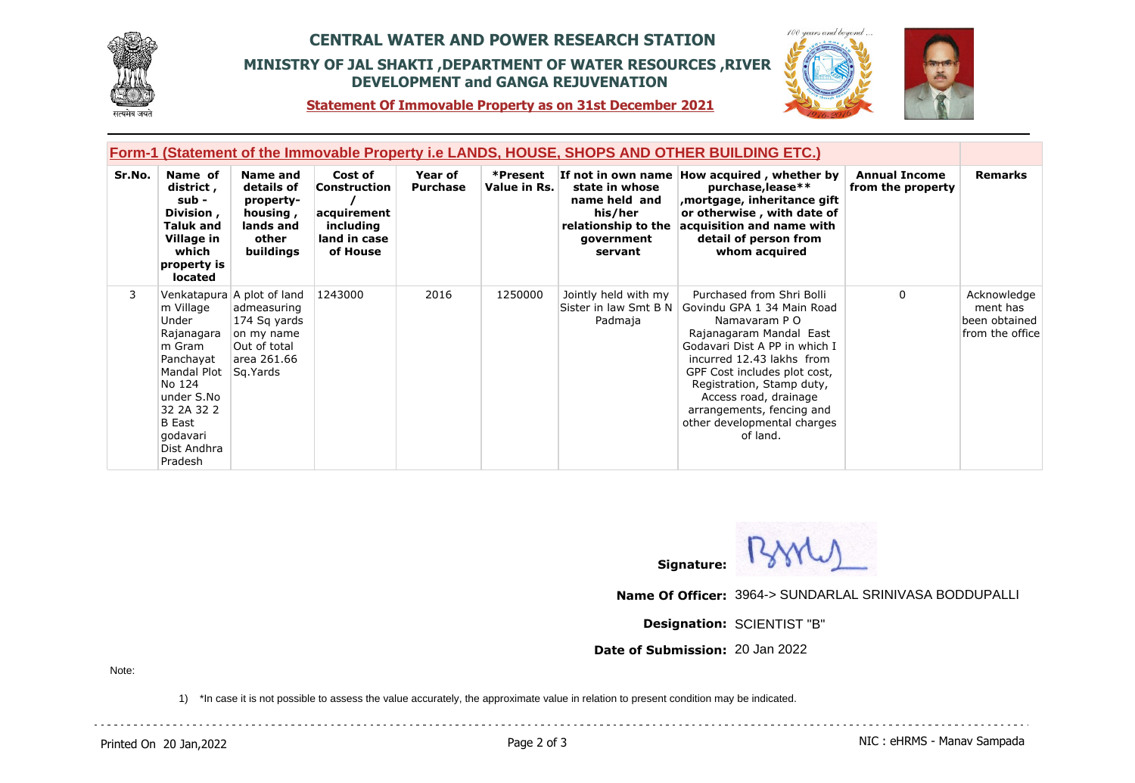

# **CENTRAL WATER AND POWER RESEARCH STATION MINISTRY OF JAL SHAKTI ,DEPARTMENT OF WATER RESOURCES ,RIVER DEVELOPMENT and GANGA REJUVENATION**



**Statement Of Immovable Property as on 31st December 2021**

| Form-1 (Statement of the Immovable Property i.e LANDS, HOUSE, SHOPS AND OTHER BUILDING ETC.) |                                                                                                                                                                     |                                                                                                                    |                                                                                        |                            |                          |                                                                                            |                                                                                                                                                                                                                                                                                                                                                         |                                           |                                                             |
|----------------------------------------------------------------------------------------------|---------------------------------------------------------------------------------------------------------------------------------------------------------------------|--------------------------------------------------------------------------------------------------------------------|----------------------------------------------------------------------------------------|----------------------------|--------------------------|--------------------------------------------------------------------------------------------|---------------------------------------------------------------------------------------------------------------------------------------------------------------------------------------------------------------------------------------------------------------------------------------------------------------------------------------------------------|-------------------------------------------|-------------------------------------------------------------|
| Sr.No.                                                                                       | Name of<br>district,<br>sub -<br>Division,<br><b>Taluk and</b><br>Village in<br>which<br>property is<br>located                                                     | Name and<br>details of<br>property-<br>housing,<br>lands and<br>other<br>buildings                                 | Cost of<br><b>Construction</b><br>acquirement<br>including<br>land in case<br>of House | Year of<br><b>Purchase</b> | *Present<br>Value in Rs. | state in whose<br>name held and<br>his/her<br>relationship to the<br>government<br>servant | If not in own name How acquired, whether by<br>purchase, lease**<br>mortgage, inheritance gift,<br>or otherwise, with date of<br>acquisition and name with<br>detail of person from<br>whom acquired                                                                                                                                                    | <b>Annual Income</b><br>from the property | <b>Remarks</b>                                              |
| 3                                                                                            | m Village<br>Under<br>Rajanagara<br>m Gram<br>Panchayat<br>Mandal Plot<br>No 124<br>under S.No<br>32 2A 32 2<br><b>B</b> East<br>godavari<br>Dist Andhra<br>Pradesh | Venkatapura A plot of land<br>admeasuring<br>174 Sq yards<br>on my name<br>Out of total<br>area 261.66<br>Sg.Yards | 1243000                                                                                | 2016                       | 1250000                  | Jointly held with my<br>Padmaja                                                            | Purchased from Shri Bolli<br>Sister in law Smt B N   Govindu GPA 1 34 Main Road<br>Namavaram P O<br>Rajanagaram Mandal East<br>Godavari Dist A PP in which I<br>incurred 12.43 lakhs from<br>GPF Cost includes plot cost,<br>Registration, Stamp duty,<br>Access road, drainage<br>arrangements, fencing and<br>other developmental charges<br>of land. | $\Omega$                                  | Acknowledge<br>ment has<br>been obtained<br>from the office |



**Name Of Officer:** 3964-> SUNDARLAL SRINIVASA BODDUPALLI

**Designation:** SCIENTIST "B"

**Date of Submission:** 20 Jan 2022

Note:

1) \*In case it is not possible to assess the value accurately, the approximate value in relation to present condition may be indicated.